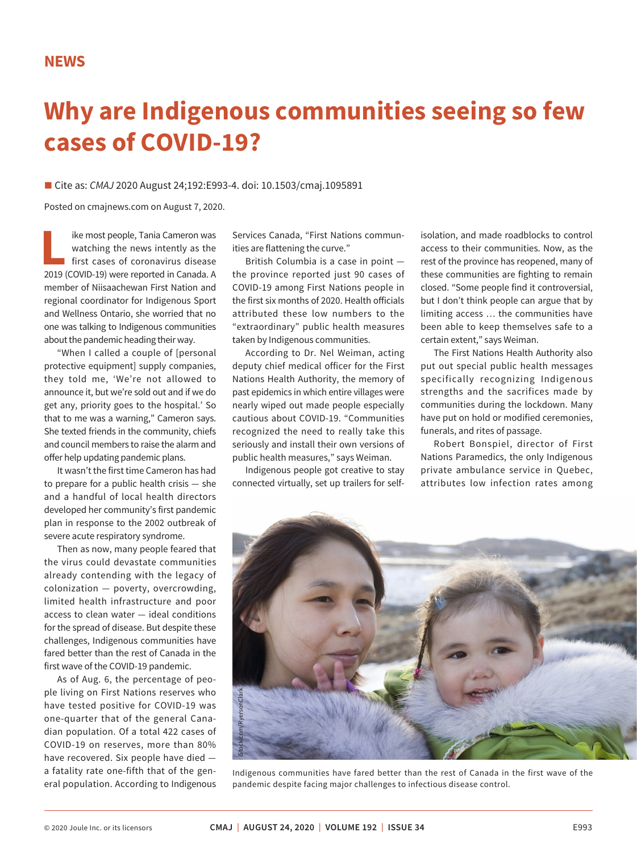## **Why are Indigenous communities seeing so few cases of COVID-19?**

■ Cite as: *CMAJ* 2020 August 24;192:E993-4. doi: 10.1503/cmaj.1095891

Posted on cmajnews.com on August 7, 2020.

**Like most people, Tania Cameron was<br>watching the news intently as the<br>first cases of coronavirus disease<br>2019 (COVID-19) were reported in Canada A** watching the news intently as the first cases of coronavirus disease 2019 (COVID-19) were reported in Canada. A member of Niisaachewan First Nation and regional coordinator for Indigenous Sport and Wellness Ontario, she worried that no one was talking to Indigenous communities about the pandemic heading their way.

"When I called a couple of [personal protective equipment] supply companies, they told me, 'We're not allowed to announce it, but we're sold out and if we do get any, priority goes to the hospital.' So that to me was a warning," Cameron says. She texted friends in the community, chiefs and council members to raise the alarm and offer help updating pandemic plans.

It wasn't the first time Cameron has had to prepare for a public health crisis — she and a handful of local health directors developed her community's first pandemic plan in response to the 2002 outbreak of severe acute respiratory syndrome.

Then as now, many people feared that the virus could devastate communities already contending with the legacy of colonization — poverty, overcrowding, limited health infrastructure and poor access to clean water — ideal conditions for the spread of disease. But despite these challenges, Indigenous communities have fared better than the rest of Canada in the first wave of the COVID-19 pandemic.

As of Aug. 6, the percentage of people living on First Nations reserves who have tested positive for COVID-19 was one-quarter that of the general Canadian population. Of a total 422 cases of COVID-19 on reserves, more than 80% have recovered. Six people have died a fatality rate one-fifth that of the general population. According to Indigenous

Services Canada, "First Nations communities are flattening the curve."

British Columbia is a case in point the province reported just 90 cases of COVID-19 among First Nations people in the first six months of 2020. Health officials attributed these low numbers to the "extraordinary" public health measures taken by Indigenous communities.

According to Dr. Nel Weiman, acting deputy chief medical officer for the First Nations Health Authority, the memory of past epidemics in which entire villages were nearly wiped out made people especially cautious about COVID-19. "Communities recognized the need to really take this seriously and install their own versions of public health measures," says Weiman.

Indigenous people got creative to stay connected virtually, set up trailers for selfisolation, and made roadblocks to control access to their communities. Now, as the rest of the province has reopened, many of these communities are fighting to remain closed. "Some people find it controversial, but I don't think people can argue that by limiting access … the communities have been able to keep themselves safe to a certain extent," says Weiman.

The First Nations Health Authority also put out special public health messages specifically recognizing Indigenous strengths and the sacrifices made by communities during the lockdown. Many have put on hold or modified ceremonies, funerals, and rites of passage.

Robert Bonspiel, director of First Nations Paramedics, the only Indigenous private ambulance service in Quebec, attributes low infection rates among



Indigenous communities have fared better than the rest of Canada in the first wave of the